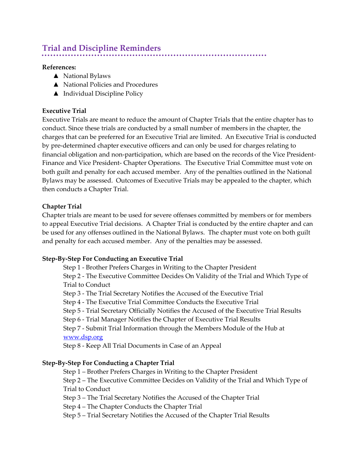# **Trial and Discipline Reminders**

#### **References:**

- ▲ National Bylaws
- ▲ National Policies and Procedures
- ▲ Individual Discipline Policy

## **Executive Trial**

Executive Trials are meant to reduce the amount of Chapter Trials that the entire chapter has to conduct. Since these trials are conducted by a small number of members in the chapter, the charges that can be preferred for an Executive Trial are limited. An Executive Trial is conducted by pre-determined chapter executive officers and can only be used for charges relating to financial obligation and non-participation, which are based on the records of the Vice President-Finance and Vice President- Chapter Operations. The Executive Trial Committee must vote on both guilt and penalty for each accused member. Any of the penalties outlined in the National Bylaws may be assessed. Outcomes of Executive Trials may be appealed to the chapter, which then conducts a Chapter Trial.

## **Chapter Trial**

Chapter trials are meant to be used for severe offenses committed by members or for members to appeal Executive Trial decisions. A Chapter Trial is conducted by the entire chapter and can be used for any offenses outlined in the National Bylaws. The chapter must vote on both guilt and penalty for each accused member. Any of the penalties may be assessed.

#### **Step-By-Step For Conducting an Executive Trial**

Step 1 - Brother Prefers Charges in Writing to the Chapter President Step 2 - The Executive Committee Decides On Validity of the Trial and Which Type of Trial to Conduct Step 3 - The Trial Secretary Notifies the Accused of the Executive Trial Step 4 - The Executive Trial Committee Conducts the Executive Trial Step 5 - Trial Secretary Officially Notifies the Accused of the Executive Trial Results Step 6 - Trial Manager Notifies the Chapter of Executive Trial Results Step 7 - Submit Trial Information through the Members Module of the Hub at [www.dsp.org](http://www.dsp.org/) Step 8 - Keep All Trial Documents in Case of an Appeal

#### **Step-By-Step For Conducting a Chapter Trial**

Step 1 – Brother Prefers Charges in Writing to the Chapter President

Step 2 – The Executive Committee Decides on Validity of the Trial and Which Type of Trial to Conduct

Step 3 – The Trial Secretary Notifies the Accused of the Chapter Trial

Step 4 – The Chapter Conducts the Chapter Trial

Step 5 – Trial Secretary Notifies the Accused of the Chapter Trial Results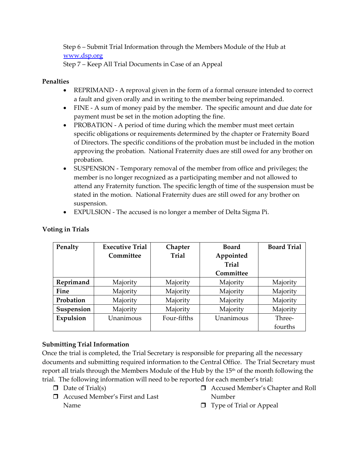Step 6 – Submit Trial Information through the Members Module of the Hub at [www.dsp.org](http://www.dsp.org/) Step 7 – Keep All Trial Documents in Case of an Appeal

### **Penalties**

- REPRIMAND A reproval given in the form of a formal censure intended to correct a fault and given orally and in writing to the member being reprimanded.
- FINE A sum of money paid by the member. The specific amount and due date for payment must be set in the motion adopting the fine.
- PROBATION A period of time during which the member must meet certain specific obligations or requirements determined by the chapter or Fraternity Board of Directors. The specific conditions of the probation must be included in the motion approving the probation. National Fraternity dues are still owed for any brother on probation.
- SUSPENSION Temporary removal of the member from office and privileges; the member is no longer recognized as a participating member and not allowed to attend any Fraternity function. The specific length of time of the suspension must be stated in the motion. National Fraternity dues are still owed for any brother on suspension.
- EXPULSION The accused is no longer a member of Delta Sigma Pi.

| Penalty    | <b>Executive Trial</b> | Chapter      | <b>Board</b> | <b>Board Trial</b> |
|------------|------------------------|--------------|--------------|--------------------|
|            | Committee              | <b>Trial</b> | Appointed    |                    |
|            |                        |              | <b>Trial</b> |                    |
|            |                        |              | Committee    |                    |
| Reprimand  | Majority               | Majority     | Majority     | Majority           |
| Fine       | Majority               | Majority     | Majority     | Majority           |
| Probation  | Majority               | Majority     | Majority     | Majority           |
| Suspension | Majority               | Majority     | Majority     | Majority           |
| Expulsion  | Unanimous              | Four-fifths  | Unanimous    | Three-             |
|            |                        |              |              | fourths            |

## **Voting in Trials**

## **Submitting Trial Information**

Once the trial is completed, the Trial Secretary is responsible for preparing all the necessary documents and submitting required information to the Central Office. The Trial Secretary must report all trials through the Members Module of the Hub by the 15<sup>th</sup> of the month following the trial. The following information will need to be reported for each member's trial:

- $\Box$  Date of Trial(s)
- Accused Member's First and Last Name
- Accused Member's Chapter and Roll Number
- $\Box$  Type of Trial or Appeal